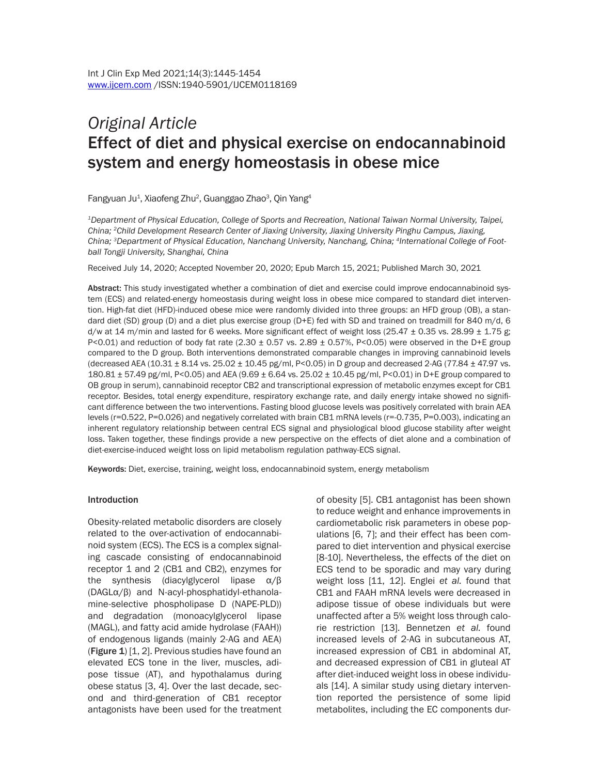# *Original Article* Effect of diet and physical exercise on endocannabinoid system and energy homeostasis in obese mice

Fangyuan Ju<sup>1</sup>, Xiaofeng Zhu<sup>2</sup>, Guanggao Zhao<sup>3</sup>, Qin Yang<sup>4</sup>

*1Department of Physical Education, College of Sports and Recreation, National Taiwan Normal University, Taipei, China; 2Child Development Research Center of Jiaxing University, Jiaxing University Pinghu Campus, Jiaxing, China; 3Department of Physical Education, Nanchang University, Nanchang, China; 4International College of Football Tongji University, Shanghai, China*

Received July 14, 2020; Accepted November 20, 2020; Epub March 15, 2021; Published March 30, 2021

Abstract: This study investigated whether a combination of diet and exercise could improve endocannabinoid system (ECS) and related-energy homeostasis during weight loss in obese mice compared to standard diet intervention. High-fat diet (HFD)-induced obese mice were randomly divided into three groups: an HFD group (OB), a standard diet (SD) group (D) and a diet plus exercise group (D+E) fed with SD and trained on treadmill for 840 m/d, 6 d/w at 14 m/min and lasted for 6 weeks. More significant effect of weight loss (25.47  $\pm$  0.35 vs. 28.99  $\pm$  1.75 g; P<0.01) and reduction of body fat rate (2.30  $\pm$  0.57 vs. 2.89  $\pm$  0.57%, P<0.05) were observed in the D+E group compared to the D group. Both interventions demonstrated comparable changes in improving cannabinoid levels (decreased AEA (10.31  $\pm$  8.14 vs. 25.02  $\pm$  10.45 pg/ml, P<0.05) in D group and decreased 2-AG (77.84  $\pm$  47.97 vs. 180.81 ± 57.49 pg/ml, P<0.05) and AEA (9.69 ± 6.64 vs. 25.02 ± 10.45 pg/ml, P<0.01) in D+E group compared to OB group in serum), cannabinoid receptor CB2 and transcriptional expression of metabolic enzymes except for CB1 receptor. Besides, total energy expenditure, respiratory exchange rate, and daily energy intake showed no significant difference between the two interventions. Fasting blood glucose levels was positively correlated with brain AEA levels (r=0.522, P=0.026) and negatively correlated with brain CB1 mRNA levels (r=-0.735, P=0.003), indicating an inherent regulatory relationship between central ECS signal and physiological blood glucose stability after weight loss. Taken together, these findings provide a new perspective on the effects of diet alone and a combination of diet-exercise-induced weight loss on lipid metabolism regulation pathway-ECS signal.

Keywords: Diet, exercise, training, weight loss, endocannabinoid system, energy metabolism

#### Introduction

Obesity-related metabolic disorders are closely related to the over-activation of endocannabinoid system (ECS). The ECS is a complex signaling cascade consisting of endocannabinoid receptor 1 and 2 (CB1 and CB2), enzymes for the synthesis (diacylglycerol lipase α/β (DAGLα/β) and N-acyl-phosphatidyl-ethanolamine-selective phospholipase D (NAPE-PLD)) and degradation (monoacylglycerol lipase (MAGL), and fatty acid amide hydrolase (FAAH)) of endogenous ligands (mainly 2-AG and AEA) (Figure  $1$ ) [1, 2]. Previous studies have found an elevated ECS tone in the liver, muscles, adipose tissue (AT), and hypothalamus during obese status [3, 4]. Over the last decade, second and third-generation of CB1 receptor antagonists have been used for the treatment

of obesity [5]. CB1 antagonist has been shown to reduce weight and enhance improvements in cardiometabolic risk parameters in obese populations [6, 7]; and their effect has been compared to diet intervention and physical exercise [8-10]. Nevertheless, the effects of the diet on ECS tend to be sporadic and may vary during weight loss [11, 12]. Englei *et al.* found that CB1 and FAAH mRNA levels were decreased in adipose tissue of obese individuals but were unaffected after a 5% weight loss through calorie restriction [13]. Bennetzen *et al.* found increased levels of 2-AG in subcutaneous AT, increased expression of CB1 in abdominal AT, and decreased expression of CB1 in gluteal AT after diet-induced weight loss in obese individuals [14]. A similar study using dietary intervention reported the persistence of some lipid metabolites, including the EC components dur-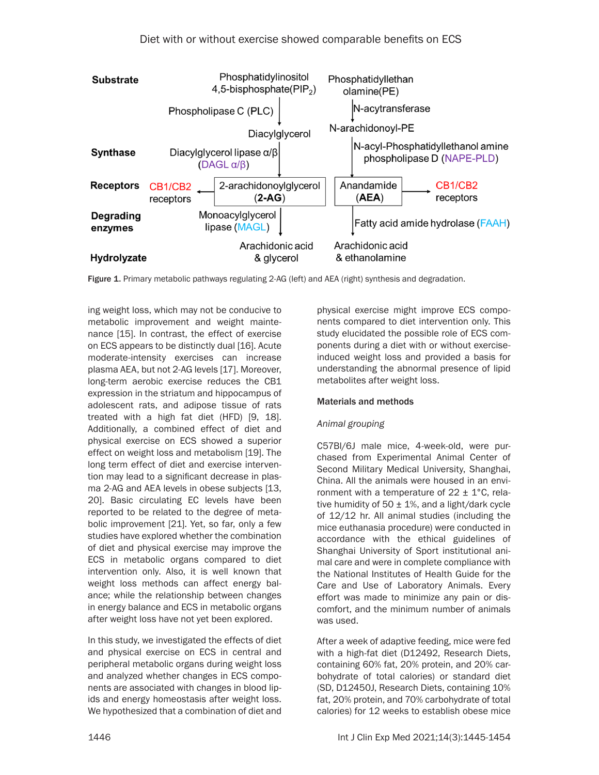

Figure 1. Primary metabolic pathways regulating 2-AG (left) and AEA (right) synthesis and degradation.

ing weight loss, which may not be conducive to metabolic improvement and weight maintenance [15]. In contrast, the effect of exercise on ECS appears to be distinctly dual [16]. Acute moderate-intensity exercises can increase plasma AEA, but not 2-AG levels [17]. Moreover, long-term aerobic exercise reduces the CB1 expression in the striatum and hippocampus of adolescent rats, and adipose tissue of rats treated with a high fat diet (HFD) [9, 18]. Additionally, a combined effect of diet and physical exercise on ECS showed a superior effect on weight loss and metabolism [19]. The long term effect of diet and exercise intervention may lead to a significant decrease in plasma 2-AG and AEA levels in obese subjects [13, 20]. Basic circulating EC levels have been reported to be related to the degree of metabolic improvement [21]. Yet, so far, only a few studies have explored whether the combination of diet and physical exercise may improve the ECS in metabolic organs compared to diet intervention only. Also, it is well known that weight loss methods can affect energy balance; while the relationship between changes in energy balance and ECS in metabolic organs after weight loss have not yet been explored.

In this study, we investigated the effects of diet and physical exercise on ECS in central and peripheral metabolic organs during weight loss and analyzed whether changes in ECS components are associated with changes in blood lipids and energy homeostasis after weight loss. We hypothesized that a combination of diet and physical exercise might improve ECS components compared to diet intervention only. This study elucidated the possible role of ECS components during a diet with or without exerciseinduced weight loss and provided a basis for understanding the abnormal presence of lipid metabolites after weight loss.

## Materials and methods

## *Animal grouping*

C57Bl/6J male mice, 4-week-old, were purchased from Experimental Animal Center of Second Military Medical University, Shanghai, China. All the animals were housed in an environment with a temperature of  $22 \pm 1$ °C, relative humidity of 50  $\pm$  1%, and a light/dark cycle of 12/12 hr. All animal studies (including the mice euthanasia procedure) were conducted in accordance with the ethical guidelines of Shanghai University of Sport institutional animal care and were in complete compliance with the National Institutes of Health Guide for the Care and Use of Laboratory Animals. Every effort was made to minimize any pain or discomfort, and the minimum number of animals was used.

After a week of adaptive feeding, mice were fed with a high-fat diet (D12492, Research Diets, containing 60% fat, 20% protein, and 20% carbohydrate of total calories) or standard diet (SD, D12450J, Research Diets, containing 10% fat, 20% protein, and 70% carbohydrate of total calories) for 12 weeks to establish obese mice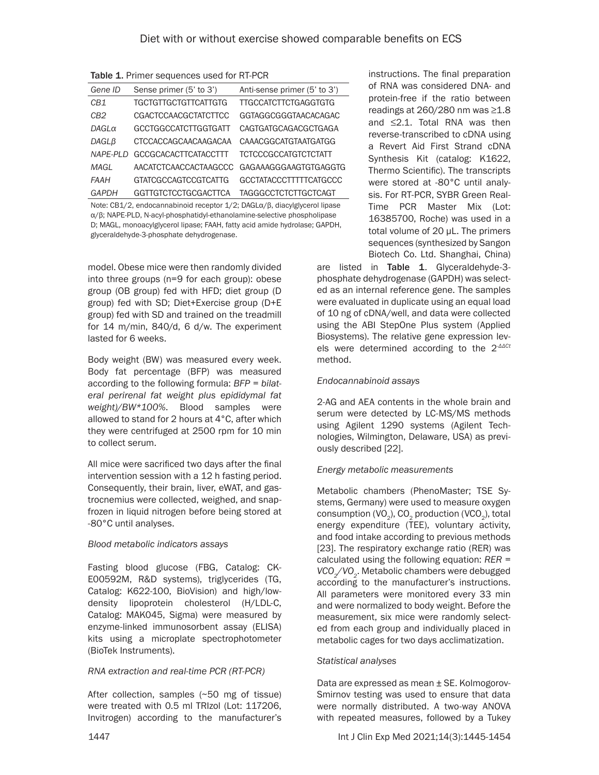Table 1. Primer sequences used for RT-PCR

| Gene ID         | Sense primer (5' to 3')     | Anti-sense primer (5' to 3') |
|-----------------|-----------------------------|------------------------------|
| C <sub>R1</sub> | <b>TGCTGTTGCTGTTCATTGTG</b> | <b>TTGCCATCTTCTGAGGTGTG</b>  |
| CB <sub>2</sub> | <b>CGACTCCAACGCTATCTTCC</b> | GGTAGGCGGGTAACACAGAC         |
| $DAGL\alpha$    | GCCTGGCCATCTTGGTGATT        | CAGTGATGCAGACGCTGAGA         |
| DAGLB           | CTCCACCAGCAACAAGACAA        | CAAACGGCATGTAATGATGG         |
| <b>NAPE-PLD</b> | <b>GCCGCACACTTCATACCTTT</b> | TCTCCCGCCATGTCTCTATT         |
| MAGL            | AACATCTCAACCACTAAGCCC       | GAGAAAGGGAAGTGTGAGGTG        |
| <b>FAAH</b>     | <b>GTATCGCCAGTCCGTCATTG</b> | GCCTATACCCTTTTTCATGCCC       |
| GAPDH           | <b>GGTTGTCTCCTGCGACTTCA</b> | <b>TAGGGCCTCTCTTGCTCAGT</b>  |

Note: CB1/2, endocannabinoid receptor 1/2; DAGLα/β, diacylglycerol lipase α/β; NAPE-PLD, N-acyl-phosphatidyl-ethanolamine-selective phospholipase D; MAGL, monoacylglycerol lipase; FAAH, fatty acid amide hydrolase; GAPDH, glyceraldehyde-3-phosphate dehydrogenase.

model. Obese mice were then randomly divided into three groups (n=9 for each group): obese group (OB group) fed with HFD; diet group (D group) fed with SD; Diet+Exercise group (D+E group) fed with SD and trained on the treadmill for 14 m/min, 840/d, 6 d/w. The experiment lasted for 6 weeks.

Body weight (BW) was measured every week. Body fat percentage (BFP) was measured according to the following formula: *BFP = bilateral perirenal fat weight plus epididymal fat weight)/BW\*100%*. Blood samples were allowed to stand for 2 hours at 4°C, after which they were centrifuged at 2500 rpm for 10 min to collect serum.

All mice were sacrificed two days after the final intervention session with a 12 h fasting period. Consequently, their brain, liver, eWAT, and gastrocnemius were collected, weighed, and snapfrozen in liquid nitrogen before being stored at -80°C until analyses.

## *Blood metabolic indicators assays*

Fasting blood glucose (FBG, Catalog: CK-E00592M, R&D systems), triglycerides (TG, Catalog: K622-100, BioVision) and high/lowdensity lipoprotein cholesterol (H/LDL-C, Catalog: MAK045, Sigma) were measured by enzyme-linked immunosorbent assay (ELISA) kits using a microplate spectrophotometer (BioTek Instruments).

## *RNA extraction and real-time PCR (RT-PCR)*

After collection, samples (~50 mg of tissue) were treated with 0.5 ml TRIzol (Lot: 117206, Invitrogen) according to the manufacturer's

instructions. The final preparation of RNA was considered DNA- and protein-free if the ratio between readings at 260/280 nm was ≥1.8 and ≤2.1. Total RNA was then reverse-transcribed to cDNA using a Revert Aid First Strand cDNA Synthesis Kit (catalog: K1622, Thermo Scientific). The transcripts were stored at -80°C until analysis. For RT-PCR, SYBR Green Real-Time PCR Master Mix (Lot: 16385700, Roche) was used in a total volume of 20 μL. The primers sequences (synthesized by Sangon Biotech Co. Ltd. Shanghai, China)

are listed in Table 1. Glyceraldehyde-3 phosphate dehydrogenase (GAPDH) was selected as an internal reference gene. The samples were evaluated in duplicate using an equal load of 10 ng of cDNA/well, and data were collected using the ABI StepOne Plus system (Applied Biosystems). The relative gene expression levels were determined according to the 2*-ΔΔCt* method.

#### *Endocannabinoid assays*

2-AG and AEA contents in the whole brain and serum were detected by LC-MS/MS methods using Agilent 1290 systems (Agilent Technologies, Wilmington, Delaware, USA) as previously described [22].

## *Energy metabolic measurements*

Metabolic chambers (PhenoMaster; TSE Systems, Germany) were used to measure oxygen consumption  $(VO<sub>a</sub>)$ , CO<sub>2</sub> production  $(VCO<sub>a</sub>)$ , total energy expenditure (TEE), voluntary activity, and food intake according to previous methods [23]. The respiratory exchange ratio (RER) was calculated using the following equation: *RER = VCO2/VO2*. Metabolic chambers were debugged according to the manufacturer's instructions. All parameters were monitored every 33 min and were normalized to body weight. Before the measurement, six mice were randomly selected from each group and individually placed in metabolic cages for two days acclimatization.

#### *Statistical analyses*

Data are expressed as mean ± SE. Kolmogorov-Smirnov testing was used to ensure that data were normally distributed. A two-way ANOVA with repeated measures, followed by a Tukey

1447 Int J Clin Exp Med 2021;14(3):1445-1454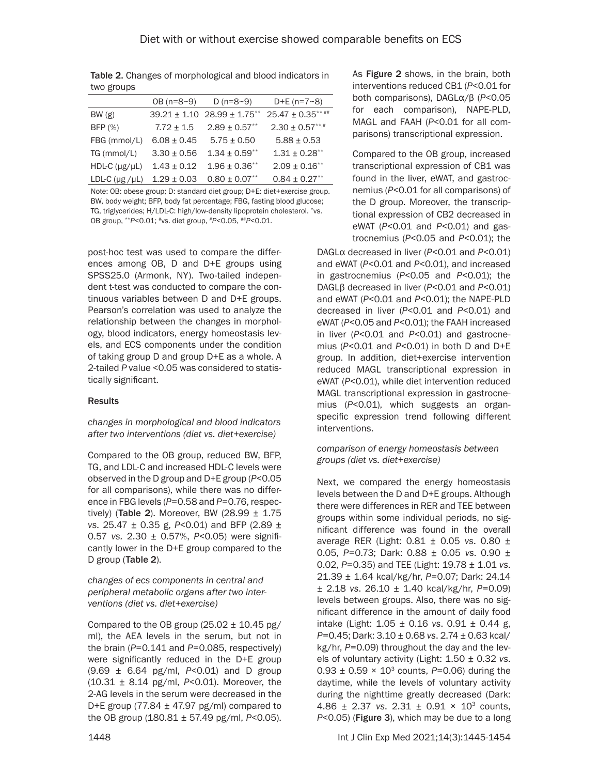Table 2. Changes of morphological and blood indicators in two groups

|                             | $OB (n=8~9)$    | D ( $n=8-9$ )                       | $D+E$ (n=7~8)      |
|-----------------------------|-----------------|-------------------------------------|--------------------|
| BW(g)                       |                 | $39.21 \pm 1.10$ 28.99 $\pm$ 1.75** | 25.47 ± 0.35**,##  |
| BFP (%)                     | $7.72 \pm 1.5$  | $2.89 \pm 0.57$ **                  | $2.30 \pm 0.57***$ |
| FBG (mmol/L)                | $6.08 \pm 0.45$ | $5.75 \pm 0.50$                     | $5.88 \pm 0.53$    |
| TG (mmol/L)                 | $3.30 \pm 0.56$ | $1.34 \pm 0.59***$                  | $1.31 \pm 0.28$ ** |
| $HDL-C$ ( $\mu$ g/ $\mu$ L) | $1.43 \pm 0.12$ | $1.96 \pm 0.36$ **                  | $2.09 \pm 0.16***$ |
| LDL-C $(\mu g / \mu L)$     | $1.29 \pm 0.03$ | $0.80 \pm 0.07***$                  | $0.84 \pm 0.27***$ |

Note: OB: obese group; D: standard diet group; D+E: diet+exercise group. BW, body weight; BFP, body fat percentage; FBG, fasting blood glucose; TG, triglycerides; H/LDL-C: high/low-density lipoprotein cholesterol. \*vs. OB group, \*\**P*<0.01; #vs. diet group, #*P*<0.05, ##*P*<0.01.

post-hoc test was used to compare the differences among OB, D and D+E groups using SPSS25.0 (Armonk, NY). Two-tailed independent t-test was conducted to compare the continuous variables between D and D+E groups. Pearson's correlation was used to analyze the relationship between the changes in morphology, blood indicators, energy homeostasis levels, and ECS components under the condition of taking group D and group D+E as a whole. A 2-tailed *P* value <0.05 was considered to statistically significant.

#### Results

*changes in morphological and blood indicators after two interventions (diet vs. diet+exercise)*

Compared to the OB group, reduced BW, BFP, TG, and LDL-C and increased HDL-C levels were observed in the D group and D+E group (*P*<0.05 for all comparisons), while there was no difference in FBG levels (*P*=0.58 and *P*=0.76, respectively) (Table 2). Moreover, BW (28.99  $\pm$  1.75 *vs.* 25.47 ± 0.35 g, *P*<0.01) and BFP (2.89 ± 0.57 *vs.* 2.30 ± 0.57%, *P*<0.05) were significantly lower in the D+E group compared to the D group (Table 2).

*changes of ecs components in central and peripheral metabolic organs after two interventions (diet vs. diet+exercise)*

Compared to the OB group  $(25.02 \pm 10.45 \text{ pg})$ ml), the AEA levels in the serum, but not in the brain (*P*=0.141 and *P*=0.085, respectively) were significantly reduced in the D+E group (9.69 ± 6.64 pg/ml, *P*<0.01) and D group (10.31 ± 8.14 pg/ml, *P*<0.01). Moreover, the 2-AG levels in the serum were decreased in the D+E group (77.84  $\pm$  47.97 pg/ml) compared to the OB group (180.81 ± 57.49 pg/ml, *P*<0.05).

As Figure 2 shows, in the brain, both interventions reduced CB1 (*P*<0.01 for both comparisons), DAGLα/β (*P*<0.05 for each comparison), NAPE-PLD, MAGL and FAAH (*P*<0.01 for all comparisons) transcriptional expression.

Compared to the OB group, increased transcriptional expression of CB1 was found in the liver, eWAT, and gastrocnemius (*P*<0.01 for all comparisons) of the D group. Moreover, the transcriptional expression of CB2 decreased in eWAT (*P*<0.01 and *P*<0.01) and gastrocnemius (*P*<0.05 and *P*<0.01); the

DAGLα decreased in liver (*P*<0.01 and *P*<0.01) and eWAT (*P*<0.01 and *P*<0.01), and increased in gastrocnemius (*P*<0.05 and *P*<0.01); the DAGLβ decreased in liver (*P*<0.01 and *P*<0.01) and eWAT (*P*<0.01 and *P*<0.01); the NAPE-PLD decreased in liver (*P*<0.01 and *P*<0.01) and eWAT (*P*<0.05 and *P*<0.01); the FAAH increased in liver (*P*<0.01 and *P*<0.01) and gastrocnemius (*P*<0.01 and *P*<0.01) in both D and D+E group. In addition, diet+exercise intervention reduced MAGL transcriptional expression in eWAT (*P*<0.01), while diet intervention reduced MAGL transcriptional expression in gastrocnemius (*P*<0.01), which suggests an organspecific expression trend following different interventions.

*comparison of energy homeostasis between groups (diet vs. diet+exercise)*

Next, we compared the energy homeostasis levels between the D and D+E groups. Although there were differences in RER and TEE between groups within some individual periods, no significant difference was found in the overall average RER (Light: 0.81 ± 0.05 *vs*. 0.80 ± 0.05, *P*=0.73; Dark: 0.88 ± 0.05 *vs*. 0.90 ± 0.02, *P*=0.35) and TEE (Light: 19.78 ± 1.01 *vs*. 21.39 ± 1.64 kcal/kg/hr, *P*=0.07; Dark: 24.14 ± 2.18 *vs*. 26.10 ± 1.40 kcal/kg/hr, *P*=0.09) levels between groups. Also, there was no significant difference in the amount of daily food intake (Light: 1.05 ± 0.16 *vs*. 0.91 ± 0.44 g, *P*=0.45; Dark: 3.10 ± 0.68 *vs*. 2.74 ± 0.63 kcal/ kg/hr, *P*=0.09) throughout the day and the levels of voluntary activity (Light: 1.50 ± 0.32 *vs*.  $0.93 \pm 0.59 \times 10^3$  counts, P=0.06) during the daytime, while the levels of voluntary activity during the nighttime greatly decreased (Dark: 4.86 ± 2.37 *vs*. 2.31 ± 0.91 × 103 counts, *P*<0.05) (Figure 3), which may be due to a long

1448 Int J Clin Exp Med 2021;14(3):1445-1454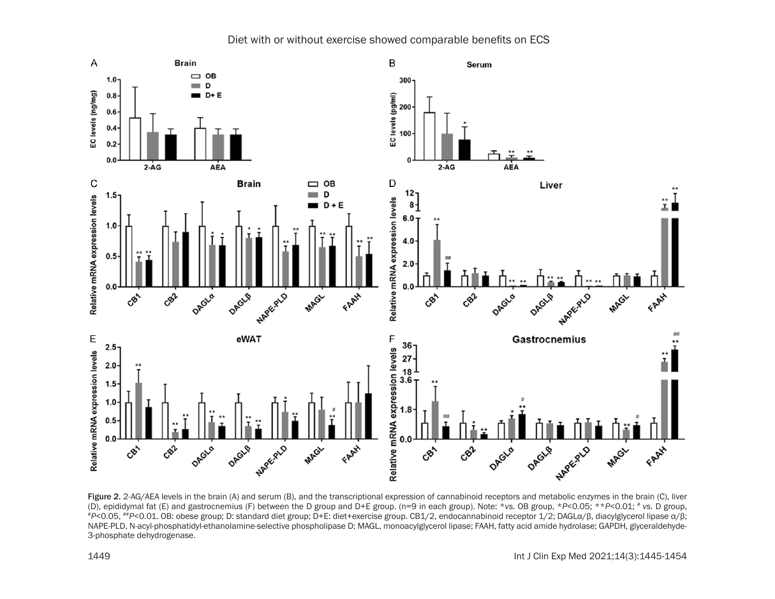

# Diet with or without exercise showed comparable benefits on ECS

Figure 2. 2-AG/AEA levels in the brain (A) and serum (B), and the transcriptional expression of cannabinoid receptors and metabolic enzymes in the brain (C), liver (D), epididymal fat (E) and gastrocnemius (F) between the #P<0.05, \*\*P<0.01. OB: obese group; D: standard diet group; D+E: diet+exercise group. CB1/2, endocannabinoid receptor 1/2; DAGLα/β, diacylglycerol lipase α/β; NAPE-PLD, N-acyl-phosphatidyl-ethanolamine-selective phospholipase D; MAGL, monoacylglycerol lipase; FAAH, fatty acid amide hydrolase; GAPDH, glyceraldehyde-3-phosphate dehydrogenase.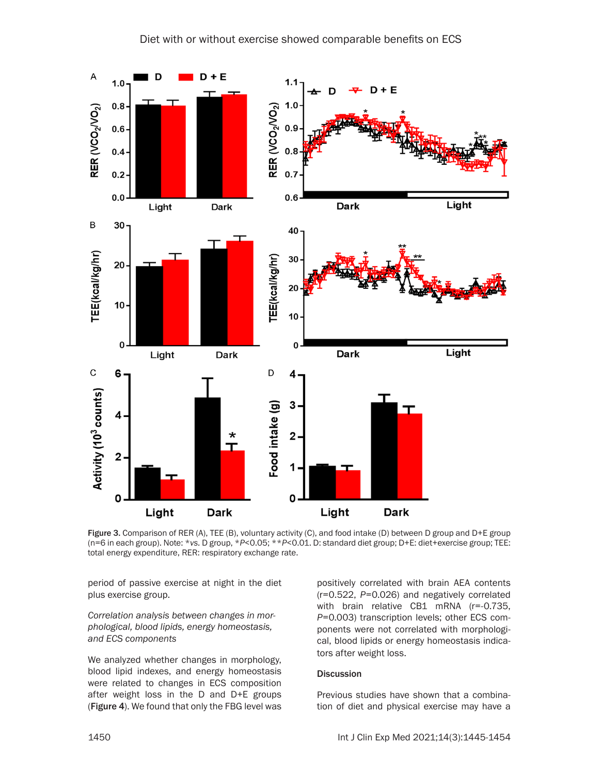

Figure 3. Comparison of RER (A), TEE (B), voluntary activity (C), and food intake (D) between D group and D+E group (n=6 in each group). Note: \**vs.* D group, \**P*<0.05; \*\**P*<0.01. D: standard diet group; D+E: diet+exercise group; TEE: total energy expenditure, RER: respiratory exchange rate.

period of passive exercise at night in the diet plus exercise group.

*Correlation analysis between changes in morphological, blood lipids, energy homeostasis, and ECS components*

We analyzed whether changes in morphology, blood lipid indexes, and energy homeostasis were related to changes in ECS composition after weight loss in the D and D+E groups (Figure 4). We found that only the FBG level was positively correlated with brain AEA contents (r=0.522, *P*=0.026) and negatively correlated with brain relative CB1 mRNA (r=-0.735, *P*=0.003) transcription levels; other ECS components were not correlated with morphological, blood lipids or energy homeostasis indicators after weight loss.

#### Discussion

Previous studies have shown that a combination of diet and physical exercise may have a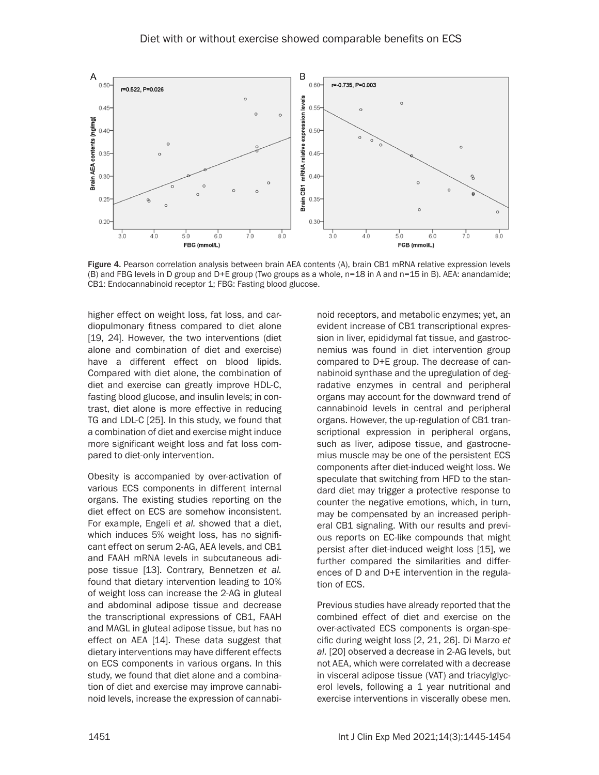

Figure 4. Pearson correlation analysis between brain AEA contents (A), brain CB1 mRNA relative expression levels (B) and FBG levels in D group and D+E group (Two groups as a whole, n=18 in A and n=15 in B). AEA: anandamide; CB1: Endocannabinoid receptor 1; FBG: Fasting blood glucose.

higher effect on weight loss, fat loss, and cardiopulmonary fitness compared to diet alone [19, 24]. However, the two interventions (diet alone and combination of diet and exercise) have a different effect on blood lipids. Compared with diet alone, the combination of diet and exercise can greatly improve HDL-C, fasting blood glucose, and insulin levels; in contrast, diet alone is more effective in reducing TG and LDL-C [25]. In this study, we found that a combination of diet and exercise might induce more significant weight loss and fat loss compared to diet-only intervention.

Obesity is accompanied by over-activation of various ECS components in different internal organs. The existing studies reporting on the diet effect on ECS are somehow inconsistent. For example, Engeli *et al.* showed that a diet, which induces 5% weight loss, has no significant effect on serum 2-AG, AEA levels, and CB1 and FAAH mRNA levels in subcutaneous adipose tissue [13]. Contrary, Bennetzen *et al.* found that dietary intervention leading to 10% of weight loss can increase the 2-AG in gluteal and abdominal adipose tissue and decrease the transcriptional expressions of CB1, FAAH and MAGL in gluteal adipose tissue, but has no effect on AEA [14]. These data suggest that dietary interventions may have different effects on ECS components in various organs. In this study, we found that diet alone and a combination of diet and exercise may improve cannabinoid levels, increase the expression of cannabinoid receptors, and metabolic enzymes; yet, an evident increase of CB1 transcriptional expression in liver, epididymal fat tissue, and gastrocnemius was found in diet intervention group compared to D+E group. The decrease of cannabinoid synthase and the upregulation of degradative enzymes in central and peripheral organs may account for the downward trend of cannabinoid levels in central and peripheral organs. However, the up-regulation of CB1 transcriptional expression in peripheral organs, such as liver, adipose tissue, and gastrocnemius muscle may be one of the persistent ECS components after diet-induced weight loss. We speculate that switching from HFD to the standard diet may trigger a protective response to counter the negative emotions, which, in turn, may be compensated by an increased peripheral CB1 signaling. With our results and previous reports on EC-like compounds that might persist after diet-induced weight loss [15], we further compared the similarities and differences of D and D+E intervention in the regulation of ECS.

Previous studies have already reported that the combined effect of diet and exercise on the over-activated ECS components is organ-specific during weight loss [2, 21, 26]. Di Marzo *et al.* [20] observed a decrease in 2-AG levels, but not AEA, which were correlated with a decrease in visceral adipose tissue (VAT) and triacylglycerol levels, following a 1 year nutritional and exercise interventions in viscerally obese men.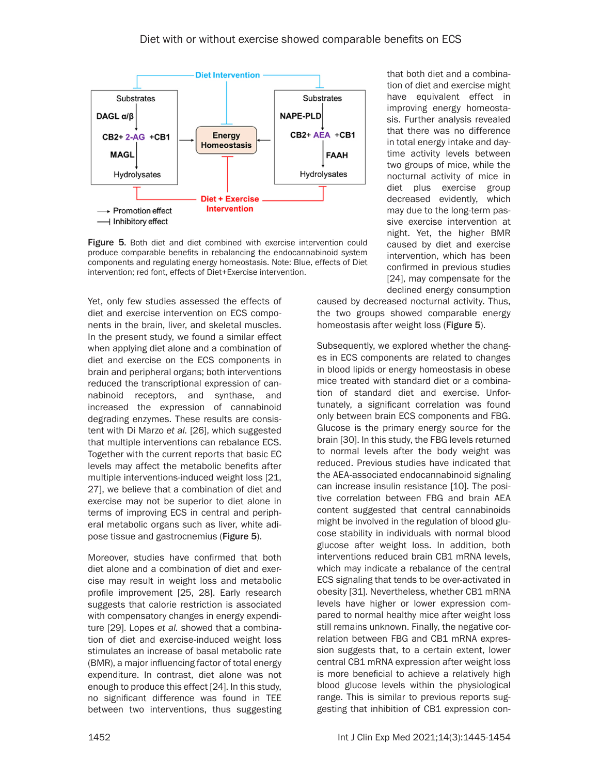

Figure 5. Both diet and diet combined with exercise intervention could produce comparable benefits in rebalancing the endocannabinoid system components and regulating energy homeostasis. Note: Blue, effects of Diet intervention; red font, effects of Diet+Exercise intervention.

Yet, only few studies assessed the effects of diet and exercise intervention on ECS components in the brain, liver, and skeletal muscles. In the present study, we found a similar effect when applying diet alone and a combination of diet and exercise on the ECS components in brain and peripheral organs; both interventions reduced the transcriptional expression of cannabinoid receptors, and synthase, and increased the expression of cannabinoid degrading enzymes. These results are consistent with Di Marzo *et al.* [26], which suggested that multiple interventions can rebalance ECS. Together with the current reports that basic EC levels may affect the metabolic benefits after multiple interventions-induced weight loss [21, 27], we believe that a combination of diet and exercise may not be superior to diet alone in terms of improving ECS in central and peripheral metabolic organs such as liver, white adipose tissue and gastrocnemius (Figure 5).

Moreover, studies have confirmed that both diet alone and a combination of diet and exercise may result in weight loss and metabolic profile improvement [25, 28]. Early research suggests that calorie restriction is associated with compensatory changes in energy expenditure [29]. Lopes *et al.* showed that a combination of diet and exercise-induced weight loss stimulates an increase of basal metabolic rate (BMR), a major influencing factor of total energy expenditure. In contrast, diet alone was not enough to produce this effect [24]. In this study, no significant difference was found in TEE between two interventions, thus suggesting

that both diet and a combination of diet and exercise might have equivalent effect in improving energy homeostasis. Further analysis revealed that there was no difference in total energy intake and daytime activity levels between two groups of mice, while the nocturnal activity of mice in diet plus exercise group decreased evidently, which may due to the long-term passive exercise intervention at night. Yet, the higher BMR caused by diet and exercise intervention, which has been confirmed in previous studies [24], may compensate for the declined energy consumption

caused by decreased nocturnal activity. Thus, the two groups showed comparable energy homeostasis after weight loss (Figure 5).

Subsequently, we explored whether the changes in ECS components are related to changes in blood lipids or energy homeostasis in obese mice treated with standard diet or a combination of standard diet and exercise. Unfortunately, a significant correlation was found only between brain ECS components and FBG. Glucose is the primary energy source for the brain [30]. In this study, the FBG levels returned to normal levels after the body weight was reduced. Previous studies have indicated that the AEA-associated endocannabinoid signaling can increase insulin resistance [10]. The positive correlation between FBG and brain AEA content suggested that central cannabinoids might be involved in the regulation of blood glucose stability in individuals with normal blood glucose after weight loss. In addition, both interventions reduced brain CB1 mRNA levels, which may indicate a rebalance of the central ECS signaling that tends to be over-activated in obesity [31]. Nevertheless, whether CB1 mRNA levels have higher or lower expression compared to normal healthy mice after weight loss still remains unknown. Finally, the negative correlation between FBG and CB1 mRNA expression suggests that, to a certain extent, lower central CB1 mRNA expression after weight loss is more beneficial to achieve a relatively high blood glucose levels within the physiological range. This is similar to previous reports suggesting that inhibition of CB1 expression con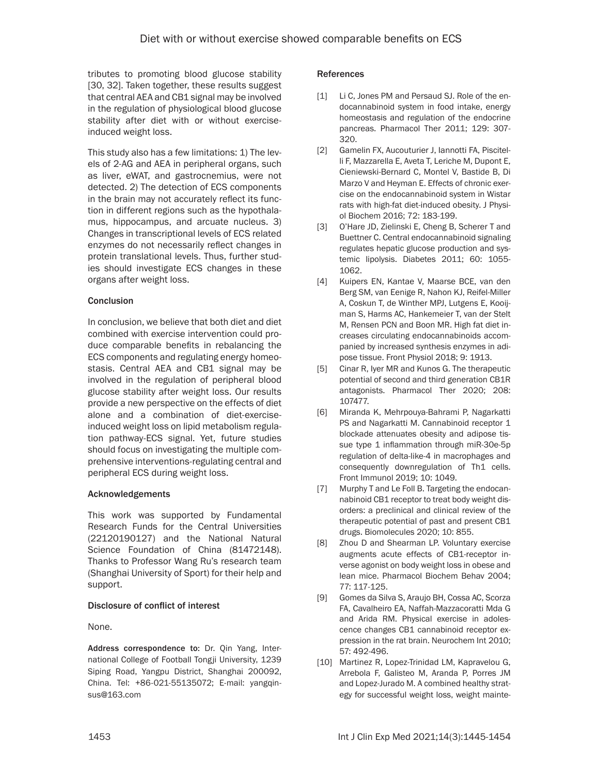tributes to promoting blood glucose stability [30, 32]. Taken together, these results suggest that central AEA and CB1 signal may be involved in the regulation of physiological blood glucose stability after diet with or without exerciseinduced weight loss.

This study also has a few limitations: 1) The levels of 2-AG and AEA in peripheral organs, such as liver, eWAT, and gastrocnemius, were not detected. 2) The detection of ECS components in the brain may not accurately reflect its function in different regions such as the hypothalamus, hippocampus, and arcuate nucleus. 3) Changes in transcriptional levels of ECS related enzymes do not necessarily reflect changes in protein translational levels. Thus, further studies should investigate ECS changes in these organs after weight loss.

#### **Conclusion**

In conclusion, we believe that both diet and diet combined with exercise intervention could produce comparable benefits in rebalancing the ECS components and regulating energy homeostasis. Central AEA and CB1 signal may be involved in the regulation of peripheral blood glucose stability after weight loss. Our results provide a new perspective on the effects of diet alone and a combination of diet-exerciseinduced weight loss on lipid metabolism regulation pathway-ECS signal. Yet, future studies should focus on investigating the multiple comprehensive interventions-regulating central and peripheral ECS during weight loss.

#### Acknowledgements

This work was supported by Fundamental Research Funds for the Central Universities (22120190127) and the National Natural Science Foundation of China (81472148). Thanks to Professor Wang Ru's research team (Shanghai University of Sport) for their help and support.

## Disclosure of conflict of interest

None.

Address correspondence to: Dr. Qin Yang, International College of Football Tongji University, 1239 Siping Road, Yangpu District, Shanghai 200092, China. Tel: +86-021-55135072; E-mail: [yangqin](mailto:yangqinsus@163.com)[sus@163.com](mailto:yangqinsus@163.com)

#### References

- [1] Li C, Jones PM and Persaud SJ. Role of the endocannabinoid system in food intake, energy homeostasis and regulation of the endocrine pancreas. Pharmacol Ther 2011; 129: 307- 320.
- [2] Gamelin FX, Aucouturier J, Iannotti FA, Piscitelli F, Mazzarella E, Aveta T, Leriche M, Dupont E, Cieniewski-Bernard C, Montel V, Bastide B, Di Marzo V and Heyman E. Effects of chronic exercise on the endocannabinoid system in Wistar rats with high-fat diet-induced obesity. J Physiol Biochem 2016; 72: 183-199.
- [3] O'Hare JD, Zielinski E, Cheng B, Scherer T and Buettner C. Central endocannabinoid signaling regulates hepatic glucose production and systemic lipolysis. Diabetes 2011; 60: 1055- 1062.
- [4] Kuipers EN, Kantae V, Maarse BCE, van den Berg SM, van Eenige R, Nahon KJ, Reifel-Miller A, Coskun T, de Winther MPJ, Lutgens E, Kooijman S, Harms AC, Hankemeier T, van der Stelt M, Rensen PCN and Boon MR. High fat diet increases circulating endocannabinoids accompanied by increased synthesis enzymes in adipose tissue. Front Physiol 2018; 9: 1913.
- [5] Cinar R, Iyer MR and Kunos G. The therapeutic potential of second and third generation CB1R antagonists. Pharmacol Ther 2020; 208: 107477.
- [6] Miranda K, Mehrpouya-Bahrami P, Nagarkatti PS and Nagarkatti M. Cannabinoid receptor 1 blockade attenuates obesity and adipose tissue type 1 inflammation through miR-30e-5p regulation of delta-like-4 in macrophages and consequently downregulation of Th1 cells. Front Immunol 2019; 10: 1049.
- [7] Murphy T and Le Foll B. Targeting the endocannabinoid CB1 receptor to treat body weight disorders: a preclinical and clinical review of the therapeutic potential of past and present CB1 drugs. Biomolecules 2020; 10: 855.
- [8] Zhou D and Shearman LP. Voluntary exercise augments acute effects of CB1-receptor inverse agonist on body weight loss in obese and lean mice. Pharmacol Biochem Behav 2004; 77: 117-125.
- [9] Gomes da Silva S, Araujo BH, Cossa AC, Scorza FA, Cavalheiro EA, Naffah-Mazzacoratti Mda G and Arida RM. Physical exercise in adolescence changes CB1 cannabinoid receptor expression in the rat brain. Neurochem Int 2010; 57: 492-496.
- [10] Martinez R, Lopez-Trinidad LM, Kapravelou G, Arrebola F, Galisteo M, Aranda P, Porres JM and Lopez-Jurado M. A combined healthy strategy for successful weight loss, weight mainte-